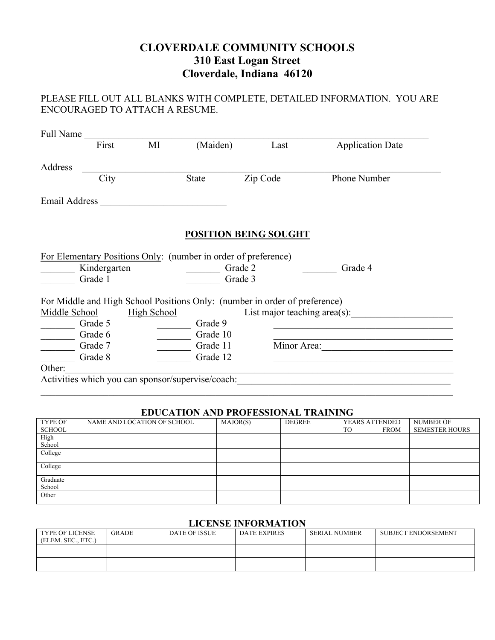# **CLOVERDALE COMMUNITY SCHOOLS 310 East Logan Street Cloverdale, Indiana 46120**

## PLEASE FILL OUT ALL BLANKS WITH COMPLETE, DETAILED INFORMATION. YOU ARE ENCOURAGED TO ATTACH A RESUME.

|               | First                   | MI                 | (Maiden)                                                       | Last                                                                       | <b>Application Date</b>         |
|---------------|-------------------------|--------------------|----------------------------------------------------------------|----------------------------------------------------------------------------|---------------------------------|
| Address       |                         |                    |                                                                |                                                                            |                                 |
|               | City                    |                    | <b>State</b>                                                   | Zip Code                                                                   | Phone Number                    |
| Email Address |                         |                    |                                                                |                                                                            |                                 |
|               |                         |                    |                                                                | <b>POSITION BEING SOUGHT</b>                                               |                                 |
|               |                         |                    | For Elementary Positions Only: (number in order of preference) |                                                                            |                                 |
|               | Kindergarten<br>Grade 1 |                    |                                                                | Grade 2<br>Grade 3                                                         | Grade 4                         |
|               |                         |                    |                                                                | For Middle and High School Positions Only: (number in order of preference) |                                 |
| Middle School |                         | <b>High School</b> |                                                                |                                                                            | List major teaching $area(s)$ : |
|               | Grade 5                 |                    | Grade 9                                                        |                                                                            |                                 |
|               | Grade 6                 |                    | Grade 10                                                       |                                                                            |                                 |
|               | Grade 7                 |                    | Grade 11                                                       | Minor Area:                                                                |                                 |
|               | Grade 8                 |                    | Grade 12                                                       |                                                                            |                                 |
|               |                         |                    |                                                                |                                                                            |                                 |
| Other:        |                         |                    | Activities which you can sponsor/supervise/coach:              |                                                                            |                                 |

### **EDUCATION AND PROFESSIONAL TRAINING**

| TYPE OF  | NAME AND LOCATION OF SCHOOL | MAJOR(S) | DEGREE | YEARS ATTENDED           | <b>NUMBER OF</b>      |
|----------|-----------------------------|----------|--------|--------------------------|-----------------------|
| SCHOOL   |                             |          |        | <b>TO</b><br><b>FROM</b> | <b>SEMESTER HOURS</b> |
| High     |                             |          |        |                          |                       |
| School   |                             |          |        |                          |                       |
| College  |                             |          |        |                          |                       |
|          |                             |          |        |                          |                       |
| College  |                             |          |        |                          |                       |
|          |                             |          |        |                          |                       |
| Graduate |                             |          |        |                          |                       |
| School   |                             |          |        |                          |                       |
| Other    |                             |          |        |                          |                       |
|          |                             |          |        |                          |                       |

#### **LICENSE INFORMATION**

| <b>TYPE OF LICENSE</b><br>(ELEM. SEC., ETC.) | <b>GRADE</b> | <b>DATE OF ISSUE</b> | <b>DATE EXPIRES</b> | <b>SERIAL NUMBER</b> | <b>SUBJECT ENDORSEMENT</b> |
|----------------------------------------------|--------------|----------------------|---------------------|----------------------|----------------------------|
|                                              |              |                      |                     |                      |                            |
|                                              |              |                      |                     |                      |                            |